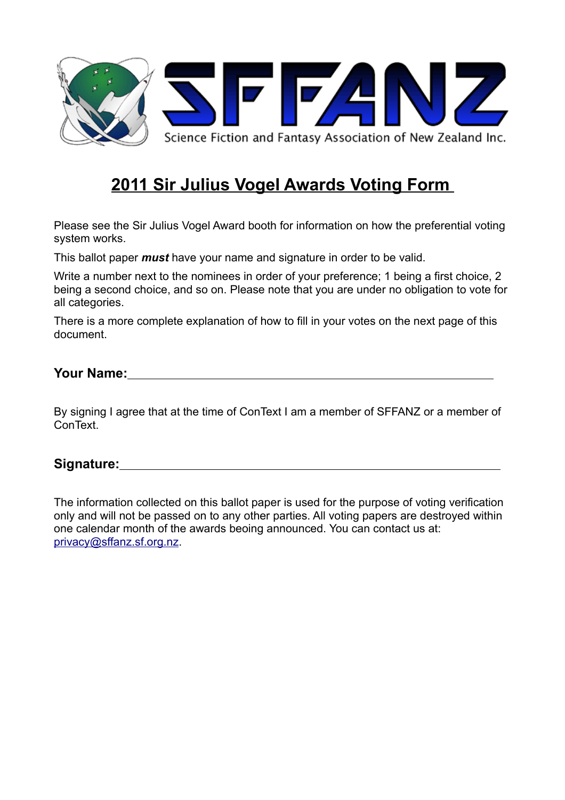

# **2011 Sir Julius Vogel Awards Voting Form**

Please see the Sir Julius Vogel Award booth for information on how the preferential voting system works.

This ballot paper *must* have your name and signature in order to be valid.

Write a number next to the nominees in order of your preference; 1 being a first choice, 2 being a second choice, and so on. Please note that you are under no obligation to vote for all categories.

There is a more complete explanation of how to fill in your votes on the next page of this document.

#### **Your Name:**

By signing I agree that at the time of ConText I am a member of SFFANZ or a member of ConText.

#### **Signature:**

The information collected on this ballot paper is used for the purpose of voting verification only and will not be passed on to any other parties. All voting papers are destroyed within one calendar month of the awards beoing announced. You can contact us at: [privacy@sffanz.sf.org.nz.](mailto:privacy@sffanz.sf.org.nz)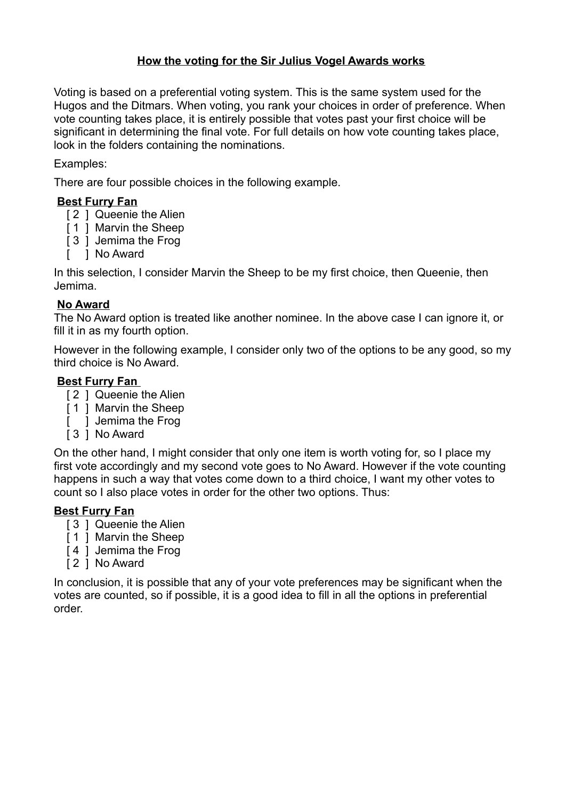### **How the voting for the Sir Julius Vogel Awards works**

Voting is based on a preferential voting system. This is the same system used for the Hugos and the Ditmars. When voting, you rank your choices in order of preference. When vote counting takes place, it is entirely possible that votes past your first choice will be significant in determining the final vote. For full details on how vote counting takes place, look in the folders containing the nominations.

#### Examples:

There are four possible choices in the following example.

#### **Best Furry Fan**

- [ 2 ] Queenie the Alien
- [ 1 ] Marvin the Sheep
- [ 3 ] Jemima the Frog
- [ ] No Award

In this selection, I consider Marvin the Sheep to be my first choice, then Queenie, then Jemima.

#### **No Award**

The No Award option is treated like another nominee. In the above case I can ignore it, or fill it in as my fourth option.

However in the following example, I consider only two of the options to be any good, so my third choice is No Award.

#### **Best Furry Fan**

- [ 2 ] Queenie the Alien
- [1] Marvin the Sheep
- [ ] Jemima the Frog
- [ 3 ] No Award

On the other hand, I might consider that only one item is worth voting for, so I place my first vote accordingly and my second vote goes to No Award. However if the vote counting happens in such a way that votes come down to a third choice, I want my other votes to count so I also place votes in order for the other two options. Thus:

#### **Best Furry Fan**

- [ 3 ] Queenie the Alien
- [1] Marvin the Sheep
- [4] Jemima the Frog
- [ 2 ] No Award

In conclusion, it is possible that any of your vote preferences may be significant when the votes are counted, so if possible, it is a good idea to fill in all the options in preferential order.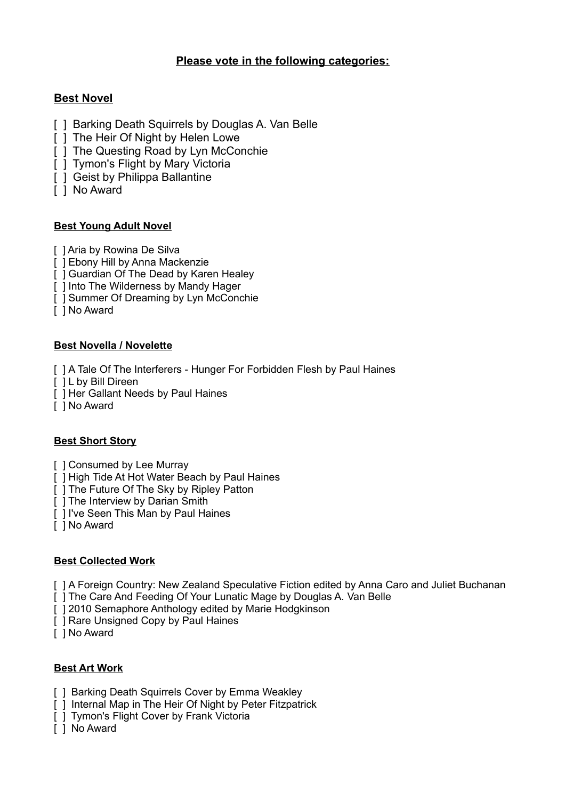#### **Please vote in the following categories:**

## **Best Novel**

- [ 1 Barking Death Squirrels by Douglas A. Van Belle
- [ ] The Heir Of Night by Helen Lowe
- [ ] The Questing Road by Lyn McConchie
- [ ] Tymon's Flight by Mary Victoria
- [ ] Geist by Philippa Ballantine
- [ ] No Award

#### **Best Young Adult Novel**

- [ ] Aria by Rowina De Silva
- [ ] Ebony Hill by Anna Mackenzie
- [ ] Guardian Of The Dead by Karen Healey
- [ ] Into The Wilderness by Mandy Hager
- [ ] Summer Of Dreaming by Lyn McConchie
- [ ] No Award

#### **Best Novella / Novelette**

- [ ] A Tale Of The Interferers Hunger For Forbidden Flesh by Paul Haines
- [  $|$  L by Bill Direen
- [ ] Her Gallant Needs by Paul Haines
- [ ] No Award

#### **Best Short Story**

- [ ] Consumed by Lee Murray
- [ ] High Tide At Hot Water Beach by Paul Haines
- [ ] The Future Of The Sky by Ripley Patton
- [ ] The Interview by Darian Smith
- [ ] I've Seen This Man by Paul Haines
- [ ] No Award

#### **Best Collected Work**

- [ ] A Foreign Country: New Zealand Speculative Fiction edited by Anna Caro and Juliet Buchanan
- [ ] The Care And Feeding Of Your Lunatic Mage by Douglas A. Van Belle
- [  $\overline{)1}$  2010 Semaphore Anthology edited by Marie Hodgkinson
- [ ] Rare Unsigned Copy by Paul Haines
- [ ] No Award

#### **Best Art Work**

- [ ] Barking Death Squirrels Cover by Emma Weakley
- [ ] Internal Map in The Heir Of Night by Peter Fitzpatrick
- [ ] Tymon's Flight Cover by Frank Victoria
- [ ] No Award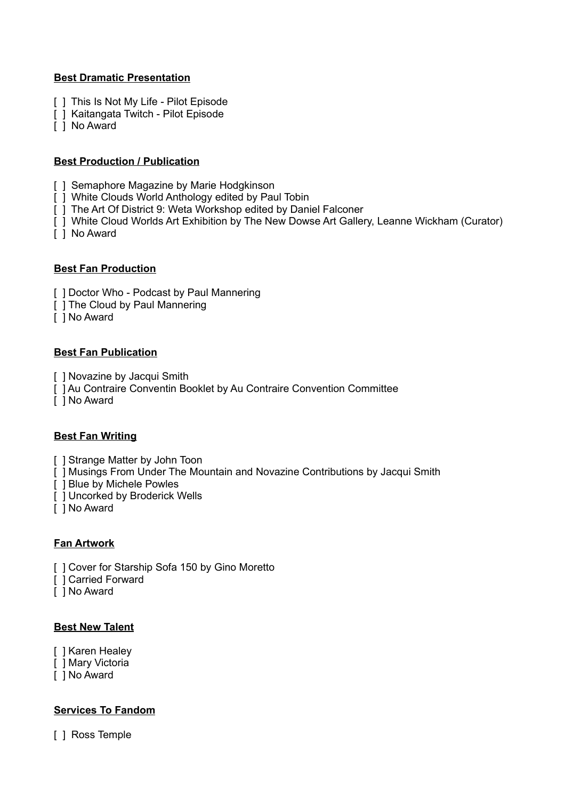#### **Best Dramatic Presentation**

- [ ] This Is Not My Life Pilot Episode
- [ ] Kaitangata Twitch Pilot Episode
- [ ] No Award

#### **Best Production / Publication**

- [ ] Semaphore Magazine by Marie Hodgkinson
- [ ] White Clouds World Anthology edited by Paul Tobin
- [ ] The Art Of District 9: Weta Workshop edited by Daniel Falconer
- [ ] White Cloud Worlds Art Exhibition by The New Dowse Art Gallery, Leanne Wickham (Curator)
- [ ] No Award

#### **Best Fan Production**

- [ ] Doctor Who Podcast by Paul Mannering
- [ ] The Cloud by Paul Mannering
- [ ] No Award

#### **Best Fan Publication**

- [ ] Novazine by Jacqui Smith
- [ ] Au Contraire Conventin Booklet by Au Contraire Convention Committee
- [ ] No Award

#### **Best Fan Writing**

- [ ] Strange Matter by John Toon
- [ ] Musings From Under The Mountain and Novazine Contributions by Jacqui Smith
- [ ] Blue by Michele Powles
- [ ] Uncorked by Broderick Wells
- [ ] No Award

#### **Fan Artwork**

- [ ] Cover for Starship Sofa 150 by Gino Moretto
- [ ] Carried Forward
- [ ] No Award

#### **Best New Talent**

- [ ] Karen Healey
- [ ] Mary Victoria
- [ ] No Award

#### **Services To Fandom**

[ ] Ross Temple